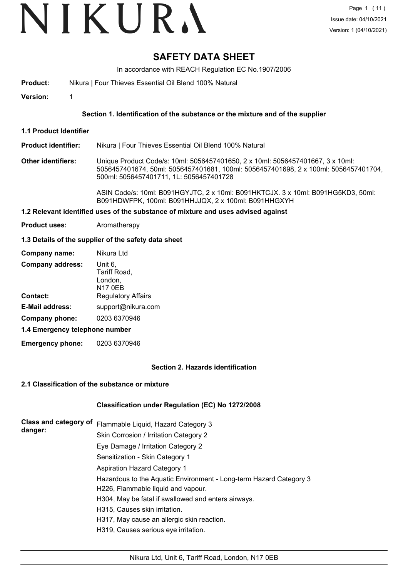# VIKURA

# **SAFETY DATA SHEET**

In accordance with REACH Regulation EC No.1907/2006

**Product:** Nikura | Four Thieves Essential Oil Blend 100% Natural

**Version:** 1

#### **Section 1. Identification of the substance or the mixture and of the supplier**

**1.1 Product Identifier**

**Product identifier:** Nikura | Four Thieves Essential Oil Blend 100% Natural

**Other identifiers:** Unique Product Code/s: 10ml: 5056457401650, 2 x 10ml: 5056457401667, 3 x 10ml: 5056457401674, 50ml: 5056457401681, 100ml: 5056457401698, 2 x 100ml: 5056457401704, 500ml: 5056457401711, 1L: 5056457401728

> ASIN Code/s: 10ml: B091HGYJTC, 2 x 10ml: B091HKTCJX. 3 x 10ml: B091HG5KD3, 50ml: B091HDWFPK, 100ml: B091HHJJQX, 2 x 100ml: B091HHGXYH

#### **1.2 Relevant identified uses of the substance of mixture and uses advised against**

**Product uses:** Aromatherapy

#### **1.3 Details of the supplier of the safety data sheet**

| Company name:                  | Nikura Ltd                                           |  |
|--------------------------------|------------------------------------------------------|--|
| <b>Company address:</b>        | Unit 6,<br>Tariff Road,<br>London,<br><b>N17 0EB</b> |  |
| Contact:                       | <b>Regulatory Affairs</b>                            |  |
| <b>E-Mail address:</b>         | support@nikura.com                                   |  |
| Company phone:                 | 0203 6370946                                         |  |
| 1.4 Emergency telephone number |                                                      |  |

**Emergency phone:** 0203 6370946

#### **Section 2. Hazards identification**

#### **2.1 Classification of the substance or mixture**

#### **Classification under Regulation (EC) No 1272/2008**

| Class and category of | Flammable Liquid, Hazard Category 3                                |
|-----------------------|--------------------------------------------------------------------|
| danger:               | Skin Corrosion / Irritation Category 2                             |
|                       | Eye Damage / Irritation Category 2                                 |
|                       | Sensitization - Skin Category 1                                    |
|                       | Aspiration Hazard Category 1                                       |
|                       | Hazardous to the Aquatic Environment - Long-term Hazard Category 3 |
|                       | H226, Flammable liquid and vapour.                                 |
|                       | H304, May be fatal if swallowed and enters airways.                |
|                       | H315, Causes skin irritation.                                      |
|                       | H317, May cause an allergic skin reaction.                         |
|                       | H319, Causes serious eye irritation.                               |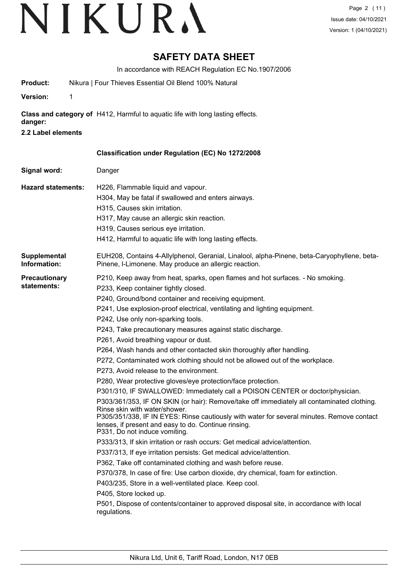# **SAFETY DATA SHEET**

In accordance with REACH Regulation EC No.1907/2006

| Product:                            | Nikura   Four Thieves Essential Oil Blend 100% Natural                                                                                                                                                                                                                                                                                                                                                                                                                                                                                                                                                                                                                                                                                                                                                                                                                                                                                                                                                                                                                                                                                                                                                                                                                                                                                                                                                                                                                                                                                                                                     |
|-------------------------------------|--------------------------------------------------------------------------------------------------------------------------------------------------------------------------------------------------------------------------------------------------------------------------------------------------------------------------------------------------------------------------------------------------------------------------------------------------------------------------------------------------------------------------------------------------------------------------------------------------------------------------------------------------------------------------------------------------------------------------------------------------------------------------------------------------------------------------------------------------------------------------------------------------------------------------------------------------------------------------------------------------------------------------------------------------------------------------------------------------------------------------------------------------------------------------------------------------------------------------------------------------------------------------------------------------------------------------------------------------------------------------------------------------------------------------------------------------------------------------------------------------------------------------------------------------------------------------------------------|
| $\mathbf 1$<br><b>Version:</b>      |                                                                                                                                                                                                                                                                                                                                                                                                                                                                                                                                                                                                                                                                                                                                                                                                                                                                                                                                                                                                                                                                                                                                                                                                                                                                                                                                                                                                                                                                                                                                                                                            |
| danger:                             | Class and category of H412, Harmful to aquatic life with long lasting effects.                                                                                                                                                                                                                                                                                                                                                                                                                                                                                                                                                                                                                                                                                                                                                                                                                                                                                                                                                                                                                                                                                                                                                                                                                                                                                                                                                                                                                                                                                                             |
| 2.2 Label elements                  |                                                                                                                                                                                                                                                                                                                                                                                                                                                                                                                                                                                                                                                                                                                                                                                                                                                                                                                                                                                                                                                                                                                                                                                                                                                                                                                                                                                                                                                                                                                                                                                            |
|                                     | Classification under Regulation (EC) No 1272/2008                                                                                                                                                                                                                                                                                                                                                                                                                                                                                                                                                                                                                                                                                                                                                                                                                                                                                                                                                                                                                                                                                                                                                                                                                                                                                                                                                                                                                                                                                                                                          |
| Signal word:                        | Danger                                                                                                                                                                                                                                                                                                                                                                                                                                                                                                                                                                                                                                                                                                                                                                                                                                                                                                                                                                                                                                                                                                                                                                                                                                                                                                                                                                                                                                                                                                                                                                                     |
| <b>Hazard statements:</b>           | H226, Flammable liquid and vapour.<br>H304, May be fatal if swallowed and enters airways.<br>H315, Causes skin irritation.<br>H317, May cause an allergic skin reaction.<br>H319, Causes serious eye irritation.<br>H412, Harmful to aquatic life with long lasting effects.                                                                                                                                                                                                                                                                                                                                                                                                                                                                                                                                                                                                                                                                                                                                                                                                                                                                                                                                                                                                                                                                                                                                                                                                                                                                                                               |
| <b>Supplemental</b><br>Information: | EUH208, Contains 4-Allylphenol, Geranial, Linalool, alpha-Pinene, beta-Caryophyllene, beta-<br>Pinene, I-Limonene. May produce an allergic reaction.                                                                                                                                                                                                                                                                                                                                                                                                                                                                                                                                                                                                                                                                                                                                                                                                                                                                                                                                                                                                                                                                                                                                                                                                                                                                                                                                                                                                                                       |
| <b>Precautionary</b><br>statements: | P210, Keep away from heat, sparks, open flames and hot surfaces. - No smoking.<br>P233, Keep container tightly closed.<br>P240, Ground/bond container and receiving equipment.<br>P241, Use explosion-proof electrical, ventilating and lighting equipment.<br>P242, Use only non-sparking tools.<br>P243, Take precautionary measures against static discharge.<br>P261, Avoid breathing vapour or dust.<br>P264, Wash hands and other contacted skin thoroughly after handling.<br>P272, Contaminated work clothing should not be allowed out of the workplace.<br>P273, Avoid release to the environment.<br>P280, Wear protective gloves/eye protection/face protection.<br>P301/310, IF SWALLOWED: Immediately call a POISON CENTER or doctor/physician.<br>P303/361/353, IF ON SKIN (or hair): Remove/take off immediately all contaminated clothing.<br>Rinse skin with water/shower.<br>P305/351/338, IF IN EYES: Rinse cautiously with water for several minutes. Remove contact<br>lenses, if present and easy to do. Continue rinsing.<br>P331, Do not induce vomiting.<br>P333/313, If skin irritation or rash occurs: Get medical advice/attention.<br>P337/313, If eye irritation persists: Get medical advice/attention.<br>P362, Take off contaminated clothing and wash before reuse.<br>P370/378, In case of fire: Use carbon dioxide, dry chemical, foam for extinction.<br>P403/235, Store in a well-ventilated place. Keep cool.<br>P405, Store locked up.<br>P501, Dispose of contents/container to approved disposal site, in accordance with local<br>regulations. |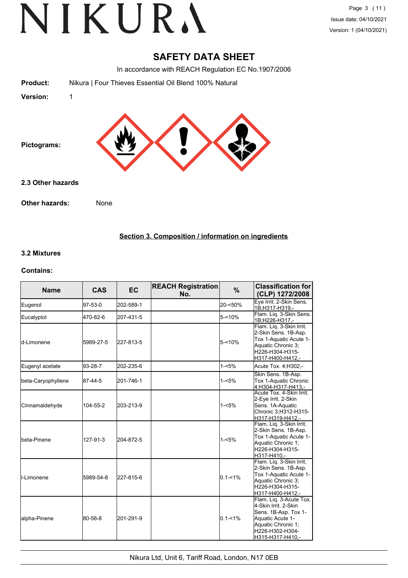## **SAFETY DATA SHEET**

In accordance with REACH Regulation EC No.1907/2006

| Version:        |                                                        |  |
|-----------------|--------------------------------------------------------|--|
| <b>Product:</b> | Nikura   Four Thieves Essential Oil Blend 100% Natural |  |
|                 |                                                        |  |

**Pictograms:**

**2.3 Other hazards**

**Other hazards:** None

**Section 3. Composition / information on ingredients**

#### **3.2 Mixtures**

#### **Contains:**

| <b>Name</b>          | <b>CAS</b> | <b>EC</b> | <b>REACH Registration</b><br>No. | $\%$        | <b>Classification for</b><br>(CLP) 1272/2008                                                                                                             |
|----------------------|------------|-----------|----------------------------------|-------------|----------------------------------------------------------------------------------------------------------------------------------------------------------|
| Eugenol              | 97-53-0    | 202-589-1 |                                  | 20-<50%     | Eye Irrit. 2-Skin Sens.<br>1B;H317-H319,-                                                                                                                |
| Eucalyptol           | 470-82-6   | 207-431-5 |                                  | $5 - 10%$   | Flam. Liq. 3-Skin Sens.<br>1B;H226-H317,-                                                                                                                |
| ld-Limonene          | 5989-27-5  | 227-813-5 |                                  | $5 - 10%$   | Flam. Liq. 3-Skin Irrit.<br>2-Skin Sens. 1B-Asp.<br>Tox 1-Aquatic Acute 1-<br>Aquatic Chronic 3;<br>H226-H304-H315-<br>H317-H400-H412,-                  |
| Eugenyl acetate      | 93-28-7    | 202-235-6 |                                  | $1 - 5%$    | Acute Tox. 4, H302,-                                                                                                                                     |
| beta-Caryophyllene   | 87-44-5    | 201-746-1 |                                  | $1 - 5%$    | Skin Sens. 1B-Asp.<br>Tox 1-Aquatic Chronic<br>4;H304-H317-H413,-                                                                                        |
| Cinnamaldehyde       | 104-55-2   | 203-213-9 |                                  | $1 - 5%$    | Acute Tox. 4-Skin Irrit.<br>2-Eye Irrit. 2-Skin<br>Sens. 1A-Aquatic<br>Chronic 3:H312-H315-<br>H317-H319-H412,-                                          |
| <b>I</b> beta-Pinene | 127-91-3   | 204-872-5 |                                  | $1 - 5%$    | Flam. Liq. 3-Skin Irrit.<br>2-Skin Sens. 1B-Asp.<br>Tox 1-Aquatic Acute 1-<br>Aquatic Chronic 1;<br>H226-H304-H315-<br>H317-H410,-                       |
| I-Limonene           | 5989-54-8  | 227-815-6 |                                  | $0.1 - 1\%$ | Flam. Lig. 3-Skin Irrit.<br>2-Skin Sens. 1B-Asp.<br>Tox 1-Aquatic Acute 1-<br>Aquatic Chronic 3;<br>H226-H304-H315-<br>H317-H400-H412.-                  |
| alpha-Pinene         | 80-56-8    | 201-291-9 |                                  | $0.1 - 1\%$ | Flam. Lig. 3-Acute Tox.<br>4-Skin Irrit, 2-Skin<br>Sens. 1B-Asp. Tox 1-<br>Aquatic Acute 1-<br>Aquatic Chronic 1:<br>H226-H302-H304-<br>H315-H317-H410,- |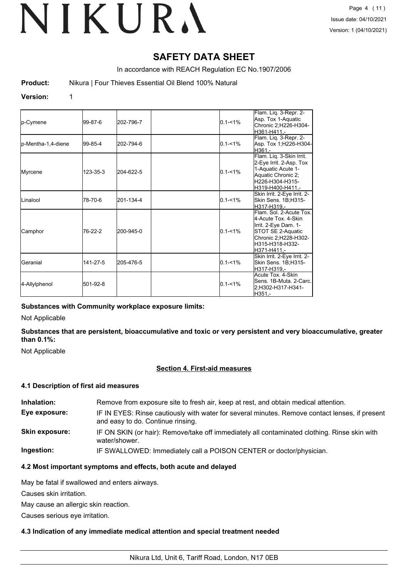# **SAFETY DATA SHEET**

In accordance with REACH Regulation EC No.1907/2006

**Product:** Nikura | Four Thieves Essential Oil Blend 100% Natural

#### **Version:** 1

| p-Cymene            | 99-87-6  | 202-796-7 | $0.1 - 1\%$ | Flam. Lig. 3-Repr. 2-<br>Asp. Tox 1-Aquatic<br>Chronic 2;H226-H304-<br>H361-H411.-                                                                    |
|---------------------|----------|-----------|-------------|-------------------------------------------------------------------------------------------------------------------------------------------------------|
| lp-Mentha-1,4-diene | 99-85-4  | 202-794-6 | $0.1 - 1\%$ | Flam. Liq. 3-Repr. 2-<br>Asp. Tox 1;H226-H304-<br>H361.-                                                                                              |
| Myrcene             | 123-35-3 | 204-622-5 | $0.1 - 1\%$ | Flam. Liq. 3-Skin Irrit.<br>2-Eye Irrit. 2-Asp. Tox<br>1-Aquatic Acute 1-<br>Aquatic Chronic 2;<br>H226-H304-H315-<br>H319-H400-H411.-                |
| ILinalool           | 78-70-6  | 201-134-4 | $0.1 - 1\%$ | Skin Irrit. 2-Eye Irrit. 2-<br>Skin Sens. 1B;H315-<br>H317-H319.-                                                                                     |
| Camphor             | 76-22-2  | 200-945-0 | $0.1 - 1\%$ | Flam. Sol. 2-Acute Tox.<br>4-Acute Tox. 4-Skin<br>Irrit. 2-Eye Dam. 1-<br>STOT SE 2-Aquatic<br>Chronic 2;H228-H302-<br>H315-H318-H332-<br>H371-H411.- |
| Geranial            | 141-27-5 | 205-476-5 | $0.1 - 1\%$ | Skin Irrit. 2-Eye Irrit. 2-<br>Skin Sens. 1B;H315-<br>lH317-H319.-                                                                                    |
| 4-Allylphenol       | 501-92-8 |           | $0.1 - 1\%$ | Acute Tox, 4-Skin<br>Sens. 1B-Muta. 2-Carc.<br>2:H302-H317-H341-<br>IH351.-                                                                           |

#### **Substances with Community workplace exposure limits:**

Not Applicable

**Substances that are persistent, bioaccumulative and toxic or very persistent and very bioaccumulative, greater than 0.1%:**

Not Applicable

#### **Section 4. First-aid measures**

#### **4.1 Description of first aid measures**

| Inhalation:    | Remove from exposure site to fresh air, keep at rest, and obtain medical attention.                                                 |
|----------------|-------------------------------------------------------------------------------------------------------------------------------------|
| Eye exposure:  | IF IN EYES: Rinse cautiously with water for several minutes. Remove contact lenses, if present<br>and easy to do. Continue rinsing. |
| Skin exposure: | IF ON SKIN (or hair): Remove/take off immediately all contaminated clothing. Rinse skin with<br>water/shower.                       |
| Ingestion:     | IF SWALLOWED: Immediately call a POISON CENTER or doctor/physician.                                                                 |

#### **4.2 Most important symptoms and effects, both acute and delayed**

May be fatal if swallowed and enters airways.

Causes skin irritation.

May cause an allergic skin reaction.

Causes serious eye irritation.

#### **4.3 Indication of any immediate medical attention and special treatment needed**

Nikura Ltd, Unit 6, Tariff Road, London, N17 0EB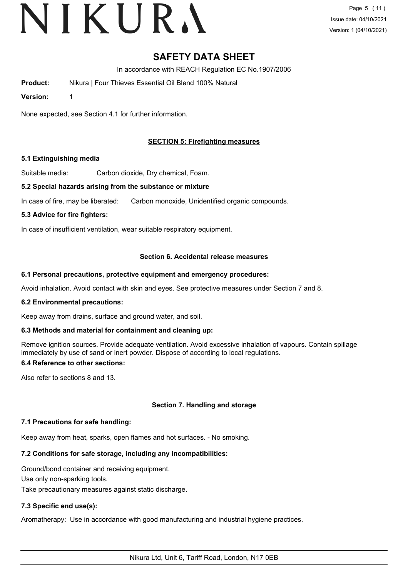# VIKURA

# **SAFETY DATA SHEET**

In accordance with REACH Regulation EC No.1907/2006

**Product:** Nikura | Four Thieves Essential Oil Blend 100% Natural

**Version:** 1

None expected, see Section 4.1 for further information.

## **SECTION 5: Firefighting measures**

#### **5.1 Extinguishing media**

Suitable media: Carbon dioxide, Dry chemical, Foam.

#### **5.2 Special hazards arising from the substance or mixture**

In case of fire, may be liberated: Carbon monoxide, Unidentified organic compounds.

#### **5.3 Advice for fire fighters:**

In case of insufficient ventilation, wear suitable respiratory equipment.

#### **Section 6. Accidental release measures**

#### **6.1 Personal precautions, protective equipment and emergency procedures:**

Avoid inhalation. Avoid contact with skin and eyes. See protective measures under Section 7 and 8.

#### **6.2 Environmental precautions:**

Keep away from drains, surface and ground water, and soil.

#### **6.3 Methods and material for containment and cleaning up:**

Remove ignition sources. Provide adequate ventilation. Avoid excessive inhalation of vapours. Contain spillage immediately by use of sand or inert powder. Dispose of according to local regulations.

## **6.4 Reference to other sections:**

Also refer to sections 8 and 13.

## **Section 7. Handling and storage**

#### **7.1 Precautions for safe handling:**

Keep away from heat, sparks, open flames and hot surfaces. - No smoking.

## **7.2 Conditions for safe storage, including any incompatibilities:**

Ground/bond container and receiving equipment. Use only non-sparking tools.

Take precautionary measures against static discharge.

## **7.3 Specific end use(s):**

Aromatherapy: Use in accordance with good manufacturing and industrial hygiene practices.

Nikura Ltd, Unit 6, Tariff Road, London, N17 0EB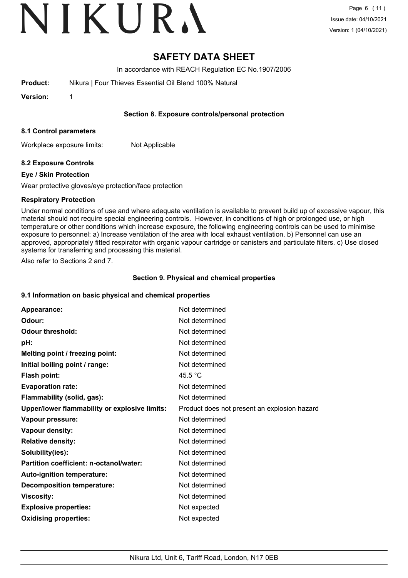# VIKURA

# **SAFETY DATA SHEET**

In accordance with REACH Regulation EC No.1907/2006

| <b>Product:</b> | Nikura   Four Thieves Essential Oil Blend 100% Natural |
|-----------------|--------------------------------------------------------|
|                 |                                                        |

**Version:** 1

#### **Section 8. Exposure controls/personal protection**

#### **8.1 Control parameters**

Workplace exposure limits: Not Applicable

## **8.2 Exposure Controls**

#### **Eye / Skin Protection**

Wear protective gloves/eye protection/face protection

## **Respiratory Protection**

Under normal conditions of use and where adequate ventilation is available to prevent build up of excessive vapour, this material should not require special engineering controls. However, in conditions of high or prolonged use, or high temperature or other conditions which increase exposure, the following engineering controls can be used to minimise exposure to personnel: a) Increase ventilation of the area with local exhaust ventilation. b) Personnel can use an approved, appropriately fitted respirator with organic vapour cartridge or canisters and particulate filters. c) Use closed systems for transferring and processing this material.

Also refer to Sections 2 and 7.

## **Section 9. Physical and chemical properties**

## **9.1 Information on basic physical and chemical properties**

| Appearance:                                   | Not determined                               |
|-----------------------------------------------|----------------------------------------------|
| Odour:                                        | Not determined                               |
| <b>Odour threshold:</b>                       | Not determined                               |
| pH:                                           | Not determined                               |
| Melting point / freezing point:               | Not determined                               |
| Initial boiling point / range:                | Not determined                               |
| Flash point:                                  | 45.5 $\degree$ C                             |
| <b>Evaporation rate:</b>                      | Not determined                               |
| Flammability (solid, gas):                    | Not determined                               |
| Upper/lower flammability or explosive limits: | Product does not present an explosion hazard |
| Vapour pressure:                              | Not determined                               |
| Vapour density:                               | Not determined                               |
| <b>Relative density:</b>                      | Not determined                               |
| Solubility(ies):                              | Not determined                               |
| Partition coefficient: n-octanol/water:       | Not determined                               |
| Auto-ignition temperature:                    | Not determined                               |
| <b>Decomposition temperature:</b>             | Not determined                               |
| <b>Viscosity:</b>                             | Not determined                               |
| <b>Explosive properties:</b>                  | Not expected                                 |
| <b>Oxidising properties:</b>                  | Not expected                                 |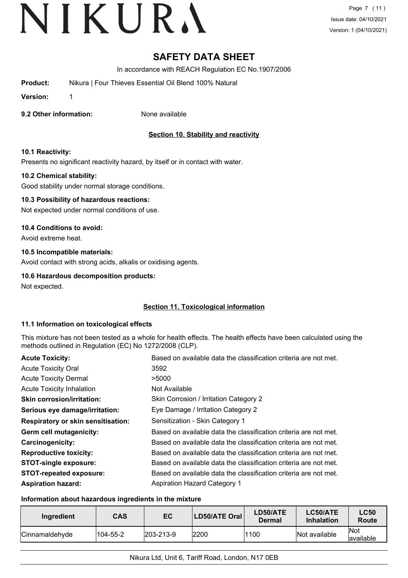# **SAFETY DATA SHEET**

In accordance with REACH Regulation EC No.1907/2006

**Product:** Nikura | Four Thieves Essential Oil Blend 100% Natural

**Version:** 1

**9.2 Other information:** None available

## **Section 10. Stability and reactivity**

#### **10.1 Reactivity:**

Presents no significant reactivity hazard, by itself or in contact with water.

#### **10.2 Chemical stability:**

Good stability under normal storage conditions.

#### **10.3 Possibility of hazardous reactions:**

Not expected under normal conditions of use.

#### **10.4 Conditions to avoid:**

Avoid extreme heat.

## **10.5 Incompatible materials:**

Avoid contact with strong acids, alkalis or oxidising agents.

## **10.6 Hazardous decomposition products:**

Not expected.

## **Section 11. Toxicological information**

#### **11.1 Information on toxicological effects**

This mixture has not been tested as a whole for health effects. The health effects have been calculated using the methods outlined in Regulation (EC) No 1272/2008 (CLP).

| <b>Acute Toxicity:</b>                    | Based on available data the classification criteria are not met. |
|-------------------------------------------|------------------------------------------------------------------|
| <b>Acute Toxicity Oral</b>                | 3592                                                             |
| <b>Acute Toxicity Dermal</b>              | >5000                                                            |
| <b>Acute Toxicity Inhalation</b>          | Not Available                                                    |
| <b>Skin corrosion/irritation:</b>         | Skin Corrosion / Irritation Category 2                           |
| Serious eye damage/irritation:            | Eye Damage / Irritation Category 2                               |
| <b>Respiratory or skin sensitisation:</b> | Sensitization - Skin Category 1                                  |
| Germ cell mutagenicity:                   | Based on available data the classification criteria are not met. |
| <b>Carcinogenicity:</b>                   | Based on available data the classification criteria are not met. |
| <b>Reproductive toxicity:</b>             | Based on available data the classification criteria are not met. |
| <b>STOT-single exposure:</b>              | Based on available data the classification criteria are not met. |
| <b>STOT-repeated exposure:</b>            | Based on available data the classification criteria are not met. |
| <b>Aspiration hazard:</b>                 | <b>Aspiration Hazard Category 1</b>                              |

#### **Information about hazardous ingredients in the mixture**

| Ingredient             | <b>CAS</b> | EC                | <b>LD50/ATE Oral</b> | LD50/ATE<br>Dermal | LC50/ATE<br><b>Inhalation</b> | <b>LC50</b><br>Route     |
|------------------------|------------|-------------------|----------------------|--------------------|-------------------------------|--------------------------|
| <b>ICinnamaldehvde</b> | 104-55-2   | $ 203 - 213 - 9 $ | 2200                 | 1100               | Not available                 | <b>Not</b><br>lavailable |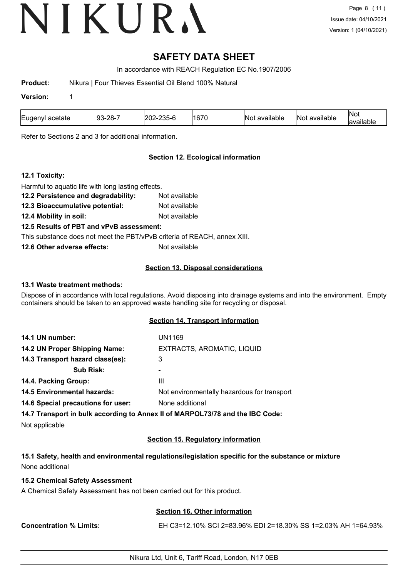# **SAFETY DATA SHEET**

In accordance with REACH Regulation EC No.1907/2006

**Product:** Nikura | Four Thieves Essential Oil Blend 100% Natural

#### **Version:** 1

| Eugeny<br>acetate | ററ<br>.nr<br>'ສູ<br>$\sim$<br>--<br>- - | $\sim$<br>. . | $\sim$<br>16, | 010<br>INC<br>available | <br>available<br>IN OT | Nov<br>анаок |
|-------------------|-----------------------------------------|---------------|---------------|-------------------------|------------------------|--------------|
|-------------------|-----------------------------------------|---------------|---------------|-------------------------|------------------------|--------------|

Refer to Sections 2 and 3 for additional information.

#### **Section 12. Ecological information**

#### **12.1 Toxicity:**

Harmful to aquatic life with long lasting effects. **12.2 Persistence and degradability:** Not available **12.3 Bioaccumulative potential:** Not available **12.4 Mobility in soil:** Not available **12.5 Results of PBT and vPvB assessment:** This substance does not meet the PBT/vPvB criteria of REACH, annex XIII. **12.6 Other adverse effects:** Not available

#### **Section 13. Disposal considerations**

#### **13.1 Waste treatment methods:**

Dispose of in accordance with local regulations. Avoid disposing into drainage systems and into the environment. Empty containers should be taken to an approved waste handling site for recycling or disposal.

#### **Section 14. Transport information**

| 14.1 UN number:                                       | UN1169                                      |
|-------------------------------------------------------|---------------------------------------------|
| 14.2 UN Proper Shipping Name:                         | EXTRACTS, AROMATIC, LIQUID                  |
| 14.3 Transport hazard class(es):                      | 3                                           |
| <b>Sub Risk:</b>                                      |                                             |
| 14.4. Packing Group:                                  | Ш                                           |
| <b>14.5 Environmental hazards:</b>                    | Not environmentally hazardous for transport |
| 14.6 Special precautions for user:<br>None additional |                                             |
|                                                       |                                             |

**14.7 Transport in bulk according to Annex II of MARPOL73/78 and the IBC Code:**

Not applicable

## **Section 15. Regulatory information**

## **15.1 Safety, health and environmental regulations/legislation specific for the substance or mixture** None additional

#### **15.2 Chemical Safety Assessment**

A Chemical Safety Assessment has not been carried out for this product.

## **Section 16. Other information**

**Concentration % Limits:** EH C3=12.10% SCI 2=83.96% EDI 2=18.30% SS 1=2.03% AH 1=64.93%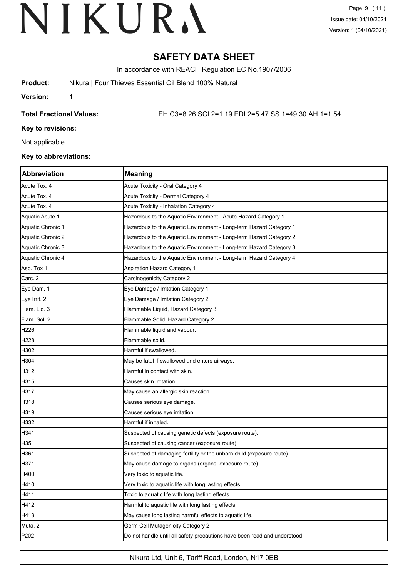Page 9 (11) Issue date: 04/10/2021 Version: 1 (04/10/2021)

# **SAFETY DATA SHEET**

In accordance with REACH Regulation EC No.1907/2006

**Product:** Nikura | Four Thieves Essential Oil Blend 100% Natural

**Version:** 1

**Total Fractional Values:** EH C3=8.26 SCI 2=1.19 EDI 2=5.47 SS 1=49.30 AH 1=1.54

**Key to revisions:**

Not applicable

#### **Key to abbreviations:**

| Abbreviation      | <b>Meaning</b>                                                            |
|-------------------|---------------------------------------------------------------------------|
| Acute Tox. 4      | Acute Toxicity - Oral Category 4                                          |
| Acute Tox. 4      | Acute Toxicity - Dermal Category 4                                        |
| Acute Tox. 4      | Acute Toxicity - Inhalation Category 4                                    |
| Aquatic Acute 1   | Hazardous to the Aquatic Environment - Acute Hazard Category 1            |
| Aquatic Chronic 1 | Hazardous to the Aquatic Environment - Long-term Hazard Category 1        |
| Aquatic Chronic 2 | Hazardous to the Aquatic Environment - Long-term Hazard Category 2        |
| Aquatic Chronic 3 | Hazardous to the Aquatic Environment - Long-term Hazard Category 3        |
| Aquatic Chronic 4 | Hazardous to the Aquatic Environment - Long-term Hazard Category 4        |
| Asp. Tox 1        | <b>Aspiration Hazard Category 1</b>                                       |
| Carc. 2           | Carcinogenicity Category 2                                                |
| Eye Dam. 1        | Eye Damage / Irritation Category 1                                        |
| Eye Irrit. 2      | Eye Damage / Irritation Category 2                                        |
| Flam. Liq. 3      | Flammable Liquid, Hazard Category 3                                       |
| Flam. Sol. 2      | Flammable Solid, Hazard Category 2                                        |
| H226              | Flammable liquid and vapour.                                              |
| H <sub>228</sub>  | Flammable solid.                                                          |
| H302              | Harmful if swallowed.                                                     |
| H304              | May be fatal if swallowed and enters airways.                             |
| H312              | Harmful in contact with skin.                                             |
| H315              | Causes skin irritation.                                                   |
| H317              | May cause an allergic skin reaction.                                      |
| H318              | Causes serious eye damage.                                                |
| H319              | Causes serious eye irritation.                                            |
| H332              | Harmful if inhaled.                                                       |
| H341              | Suspected of causing genetic defects (exposure route).                    |
| H351              | Suspected of causing cancer (exposure route).                             |
| H361              | Suspected of damaging fertility or the unborn child (exposure route).     |
| H371              | May cause damage to organs (organs, exposure route).                      |
| H400              | Very toxic to aquatic life.                                               |
| H410              | Very toxic to aquatic life with long lasting effects.                     |
| H411              | Toxic to aquatic life with long lasting effects.                          |
| H412              | Harmful to aquatic life with long lasting effects.                        |
| H413              | May cause long lasting harmful effects to aquatic life.                   |
| Muta. 2           | Germ Cell Mutagenicity Category 2                                         |
| P202              | Do not handle until all safety precautions have been read and understood. |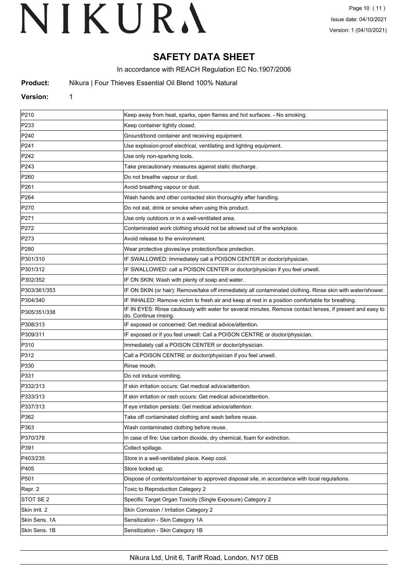# **SAFETY DATA SHEET**

In accordance with REACH Regulation EC No.1907/2006

**Product:** Nikura | Four Thieves Essential Oil Blend 100% Natural

#### **Version:** 1

| P210             | Keep away from heat, sparks, open flames and hot surfaces. - No smoking.                                                           |
|------------------|------------------------------------------------------------------------------------------------------------------------------------|
| P233             | Keep container tightly closed.                                                                                                     |
| P240             | Ground/bond container and receiving equipment.                                                                                     |
| P241             | Use explosion-proof electrical, ventilating and lighting equipment.                                                                |
| P242             | Use only non-sparking tools.                                                                                                       |
| P243             | Take precautionary measures against static discharge.                                                                              |
| P <sub>260</sub> | Do not breathe vapour or dust.                                                                                                     |
| P261             | Avoid breathing vapour or dust.                                                                                                    |
| P <sub>264</sub> | Wash hands and other contacted skin thoroughly after handling.                                                                     |
| P270             | Do not eat, drink or smoke when using this product.                                                                                |
| P271             | Use only outdoors or in a well-ventilated area.                                                                                    |
| P272             | Contaminated work clothing should not be allowed out of the workplace.                                                             |
| P273             | Avoid release to the environment.                                                                                                  |
| P <sub>280</sub> | Wear protective gloves/eye protection/face protection.                                                                             |
| P301/310         | IF SWALLOWED: Immediately call a POISON CENTER or doctor/physician.                                                                |
| P301/312         | IF SWALLOWED: call a POISON CENTER or doctor/physician if you feel unwell.                                                         |
| P302/352         | IF ON SKIN: Wash with plenty of soap and water.                                                                                    |
| P303/361/353     | IF ON SKIN (or hair): Remove/take off immediately all contaminated clothing. Rinse skin with water/shower.                         |
| P304/340         | IF INHALED: Remove victim to fresh air and keep at rest in a position comfortable for breathing.                                   |
| P305/351/338     | IF IN EYES: Rinse cautiously with water for several minutes. Remove contact lenses, if present and easy to<br>do. Continue rinsing |
| P308/313         | IF exposed or concerned: Get medical advice/attention.                                                                             |
| P309/311         | IF exposed or if you feel unwell: Call a POISON CENTRE or doctor/physician.                                                        |
| P310             | Immediately call a POISON CENTER or doctor/physician.                                                                              |
| P312             | Call a POISON CENTRE or doctor/physician if you feel unwell.                                                                       |
| P330             | Rinse mouth.                                                                                                                       |
| P331             | Do not induce vomiting.                                                                                                            |
| P332/313         | If skin irritation occurs: Get medical advice/attention.                                                                           |
| P333/313         | If skin irritation or rash occurs: Get medical advice/attention.                                                                   |
| P337/313         | If eye irritation persists: Get medical advice/attention.                                                                          |
| P362             | Take off contaminated clothing and wash before reuse.                                                                              |
| P363             | Wash contaminated clothing before reuse.                                                                                           |
| P370/378         | In case of fire: Use carbon dioxide, dry chemical, foam for extinction.                                                            |
| P391             | Collect spillage.                                                                                                                  |
| P403/235         | Store in a well-ventilated place. Keep cool.                                                                                       |
| P405             | Store locked up.                                                                                                                   |
| P501             | Dispose of contents/container to approved disposal site, in accordance with local regulations.                                     |
| Repr. 2          | Toxic to Reproduction Category 2                                                                                                   |
| STOT SE 2        | Specific Target Organ Toxicity (Single Exposure) Category 2                                                                        |
| Skin Irrit. 2    | Skin Corrosion / Irritation Category 2                                                                                             |
| Skin Sens. 1A    | Sensitization - Skin Category 1A                                                                                                   |
| Skin Sens. 1B    | Sensitization - Skin Category 1B                                                                                                   |